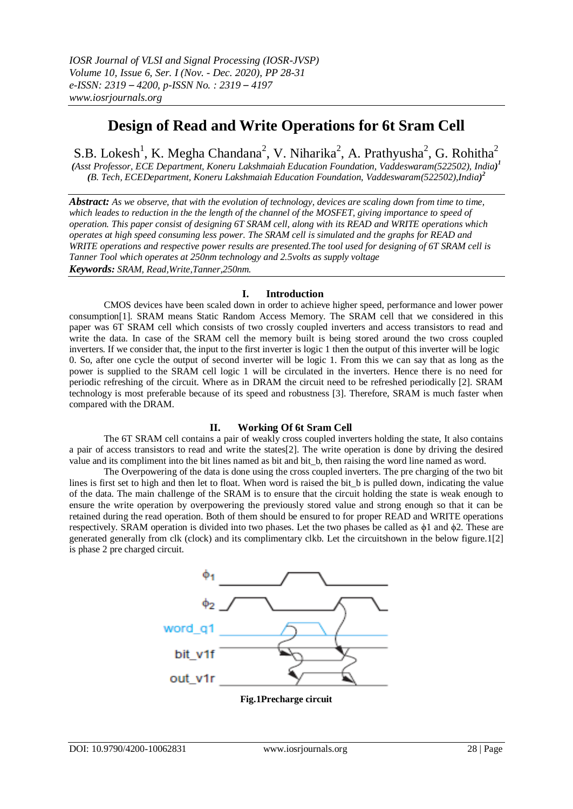# **Design of Read and Write Operations for 6t Sram Cell**

S.B. Lokesh<sup>1</sup>, K. Megha Chandana<sup>2</sup>, V. Niharika<sup>2</sup>, A. Prathyusha<sup>2</sup>, G. Rohitha<sup>2</sup>

*(Asst Professor, ECE Department, Koneru Lakshmaiah Education Foundation, Vaddeswaram(522502), India) 1 (B. Tech, ECEDepartment, Koneru Lakshmaiah Education Foundation, Vaddeswaram(522502),India) 2*

*Abstract: As we observe, that with the evolution of technology, devices are scaling down from time to time, which leades to reduction in the the length of the channel of the MOSFET, giving importance to speed of operation. This paper consist of designing 6T SRAM cell, along with its READ and WRITE operations which operates at high speed consuming less power. The SRAM cell is simulated and the graphs for READ and WRITE operations and respective power results are presented.The tool used for designing of 6T SRAM cell is Tanner Tool which operates at 250nm technology and 2.5volts as supply voltage Keywords: SRAM, Read,Write,Tanner,250nm.*

## **I. Introduction**

CMOS devices have been scaled down in order to achieve higher speed, performance and lower power consumption[1]. SRAM means Static Random Access Memory. The SRAM cell that we considered in this paper was 6T SRAM cell which consists of two crossly coupled inverters and access transistors to read and write the data. In case of the SRAM cell the memory built is being stored around the two cross coupled inverters. If we consider that, the input to the first inverter is logic 1 then the output of this inverter will be logic 0. So, after one cycle the output of second inverter will be logic 1. From this we can say that as long as the power is supplied to the SRAM cell logic 1 will be circulated in the inverters. Hence there is no need for periodic refreshing of the circuit. Where as in DRAM the circuit need to be refreshed periodically [2]. SRAM technology is most preferable because of its speed and robustness [3]. Therefore, SRAM is much faster when compared with the DRAM.

### **II. Working Of 6t Sram Cell**

The 6T SRAM cell contains a pair of weakly cross coupled inverters holding the state, It also contains a pair of access transistors to read and write the states[2]. The write operation is done by driving the desired value and its compliment into the bit lines named as bit and bit\_b, then raising the word line named as word.

The Overpowering of the data is done using the cross coupled inverters. The pre charging of the two bit lines is first set to high and then let to float. When word is raised the bit b is pulled down, indicating the value of the data. The main challenge of the SRAM is to ensure that the circuit holding the state is weak enough to ensure the write operation by overpowering the previously stored value and strong enough so that it can be retained during the read operation. Both of them should be ensured to for proper READ and WRITE operations respectively. SRAM operation is divided into two phases. Let the two phases be called as ϕ1 and ϕ2. These are generated generally from clk (clock) and its complimentary clkb. Let the circuitshown in the below figure.1[2] is phase 2 pre charged circuit.



**Fig.1Precharge circuit**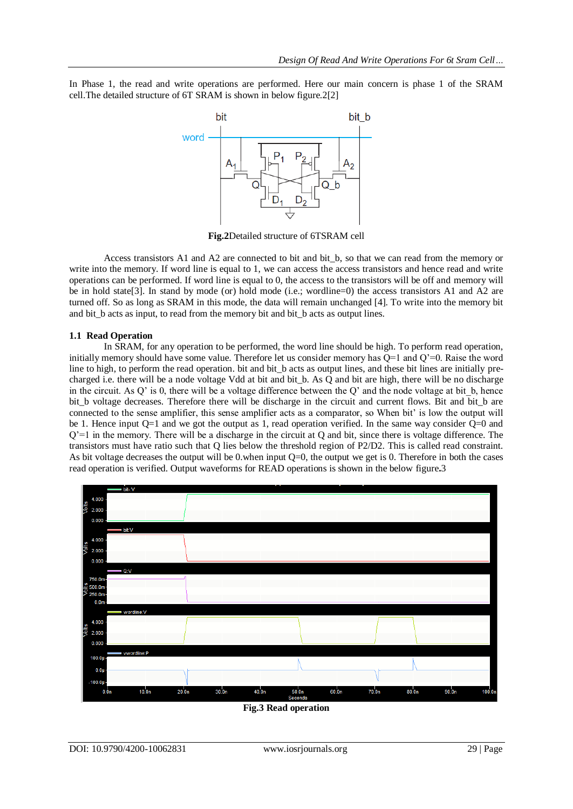In Phase 1, the read and write operations are performed. Here our main concern is phase 1 of the SRAM cell.The detailed structure of 6T SRAM is shown in below figure.2[2]



**Fig.2**Detailed structure of 6TSRAM cell

Access transistors A1 and A2 are connected to bit and bit\_b, so that we can read from the memory or write into the memory. If word line is equal to 1, we can access the access transistors and hence read and write operations can be performed. If word line is equal to 0, the access to the transistors will be off and memory will be in hold state[3]. In stand by mode (or) hold mode (i.e.; wordline=0) the access transistors A1 and A2 are turned off. So as long as SRAM in this mode, the data will remain unchanged [4]. To write into the memory bit and bit b acts as input, to read from the memory bit and bit b acts as output lines.

#### **1.1 Read Operation**

In SRAM, for any operation to be performed, the word line should be high. To perform read operation, initially memory should have some value. Therefore let us consider memory has Q=1 and Q'=0. Raise the word line to high, to perform the read operation. bit and bit\_b acts as output lines, and these bit lines are initially precharged i.e. there will be a node voltage Vdd at bit and bit\_b. As Q and bit are high, there will be no discharge in the circuit. As Q' is 0, there will be a voltage difference between the Q' and the node voltage at bit  $\bar{b}$ , hence bit b voltage decreases. Therefore there will be discharge in the circuit and current flows. Bit and bit b are connected to the sense amplifier, this sense amplifier acts as a comparator, so When bit' is low the output will be 1. Hence input Q=1 and we got the output as 1, read operation verified. In the same way consider Q=0 and Q'=1 in the memory. There will be a discharge in the circuit at Q and bit, since there is voltage difference. The transistors must have ratio such that Q lies below the threshold region of P2/D2. This is called read constraint. As bit voltage decreases the output will be 0.when input  $Q=0$ , the output we get is 0. Therefore in both the cases read operation is verified. Output waveforms for READ operations is shown in the below figure**.**3



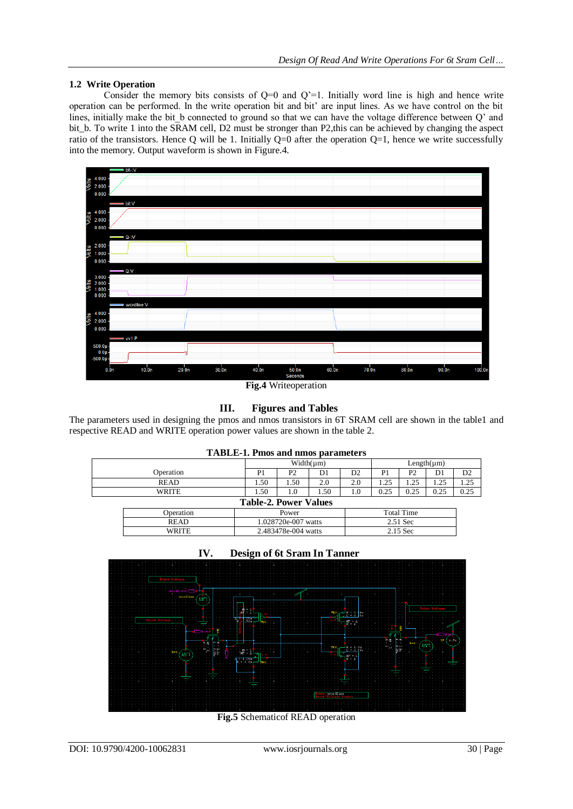# **1.2 Write Operation**

Consider the memory bits consists of  $Q=0$  and  $Q'=1$ . Initially word line is high and hence write operation can be performed. In the write operation bit and bit' are input lines. As we have control on the bit lines, initially make the bit\_b connected to ground so that we can have the voltage difference between Q' and bit\_b. To write 1 into the SRAM cell, D2 must be stronger than P2,this can be achieved by changing the aspect ratio of the transistors. Hence Q will be 1. Initially  $Q=0$  after the operation  $Q=1$ , hence we write successfully into the memory. Output waveform is shown in Figure.4.



**Fig.4** Writeoperation

# **III. Figures and Tables**

The parameters used in designing the pmos and nmos transistors in 6T SRAM cell are shown in the table1 and respective READ and WRITE operation power values are shown in the table 2.

|              | <b>TABLE-1. Pmos and nmos parameters</b> |                              |      |     |                |                 |      |                |  |
|--------------|------------------------------------------|------------------------------|------|-----|----------------|-----------------|------|----------------|--|
|              |                                          | $Width(\mu m)$               |      |     |                | $Length(\mu m)$ |      |                |  |
| Operation    | P1                                       | P <sub>2</sub>               | D1   | D2  | P <sub>1</sub> | P <sub>2</sub>  | D1   | D <sub>2</sub> |  |
| READ         | 1.50                                     | 1.50                         | 2.0  | 2.0 | 1.25           | 1.25            | 1.25 | 1.25           |  |
| <b>WRITE</b> | 1.50                                     | 1.0                          | 1.50 | 1.0 | 0.25           | 0.25            | 0.25 | 0.25           |  |
|              |                                          | <b>Table-2. Power Values</b> |      |     |                |                 |      |                |  |
| Operation    |                                          | Power                        |      |     |                |                 |      |                |  |
| READ         |                                          | 1.028720e-007 watts          |      |     | 2.51 Sec       |                 |      |                |  |
| WRITE        |                                          | 2.483478e-004 watts          |      |     | 2.15 Sec       |                 |      |                |  |





**Fig.5** Schematicof READ operation